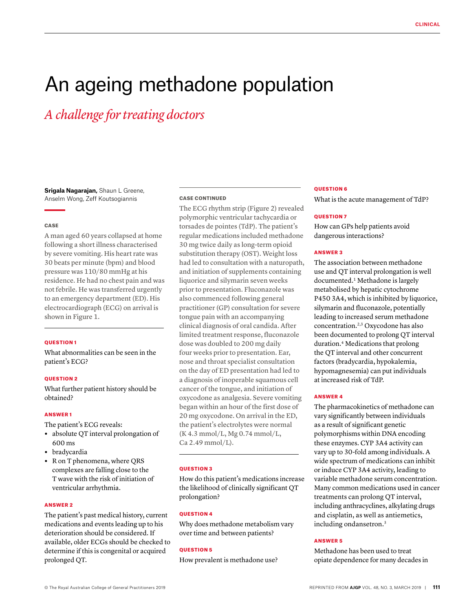# An ageing methadone population

*A challenge for treating doctors*

**Srigala Nagarajan,** Shaun L Greene, Anselm Wong, Zeff Koutsogiannis

#### **CASE**

A man aged 60 years collapsed at home following a short illness characterised by severe vomiting. His heart rate was 30 beats per minute (bpm) and blood pressure was 110/80 mmHg at his residence. He had no chest pain and was not febrile. He was transferred urgently to an emergency department (ED). His electrocardiograph (ECG) on arrival is shown in Figure 1.

#### QUESTION 1

What abnormalities can be seen in the patient's ECG?

## QUESTION 2

What further patient history should be obtained?

## ANSWER 1

The patient's ECG reveals:

- **•** absolute QT interval prolongation of 600 ms
- **•** bradycardia
- **•** R on T phenomena, where QRS complexes are falling close to the T wave with the risk of initiation of ventricular arrhythmia.

## ANSWER 2

The patient's past medical history, current medications and events leading up to his deterioration should be considered. If available, older ECGs should be checked to determine if this is congenital or acquired prolonged QT.

#### CASE CONTINUED

The ECG rhythm strip (Figure 2) revealed polymorphic ventricular tachycardia or torsades de pointes (TdP). The patient's regular medications included methadone 30 mg twice daily as long-term opioid substitution therapy (OST). Weight loss had led to consultation with a naturopath, and initiation of supplements containing liquorice and silymarin seven weeks prior to presentation. Fluconazole was also commenced following general practitioner (GP) consultation for severe tongue pain with an accompanying clinical diagnosis of oral candida. After limited treatment response, fluconazole dose was doubled to 200 mg daily four weeks prior to presentation. Ear, nose and throat specialist consultation on the day of ED presentation had led to a diagnosis of inoperable squamous cell cancer of the tongue, and initiation of oxycodone as analgesia. Severe vomiting began within an hour of the first dose of 20 mg oxycodone. On arrival in the ED, the patient's electrolytes were normal (K 4.3 mmol/L, Mg 0.74 mmol/L, Ca 2.49 mmol/L).

#### QUESTION 3

How do this patient's medications increase the likelihood of clinically significant QT prolongation?

## **OUESTION 4**

Why does methadone metabolism vary over time and between patients?

## QUESTION 5

How prevalent is methadone use?

#### QUESTION 6

What is the acute management of TdP?

## QUESTION 7

How can GPs help patients avoid dangerous interactions?

## ANSWER 3

The association between methadone use and QT interval prolongation is well documented.1 Methadone is largely metabolised by hepatic cytochrome P450 3A4, which is inhibited by liquorice, silymarin and fluconazole, potentially leading to increased serum methadone concentration.2,3 Oxycodone has also been documented to prolong QT interval duration.4 Medications that prolong the QT interval and other concurrent factors (bradycardia, hypokalemia, hypomagnesemia) can put individuals at increased risk of TdP.

# ANSWER 4

The pharmacokinetics of methadone can vary significantly between individuals as a result of significant genetic polymorphisms within DNA encoding these enzymes. CYP 3A4 activity can vary up to 30-fold among individuals. A wide spectrum of medications can inhibit or induce CYP 3A4 activity, leading to variable methadone serum concentration. Many common medications used in cancer treatments can prolong QT interval, including anthracyclines, alkylating drugs and cisplatin, as well as antiemetics, including ondansetron.3

## ANSWER 5

Methadone has been used to treat opiate dependence for many decades in